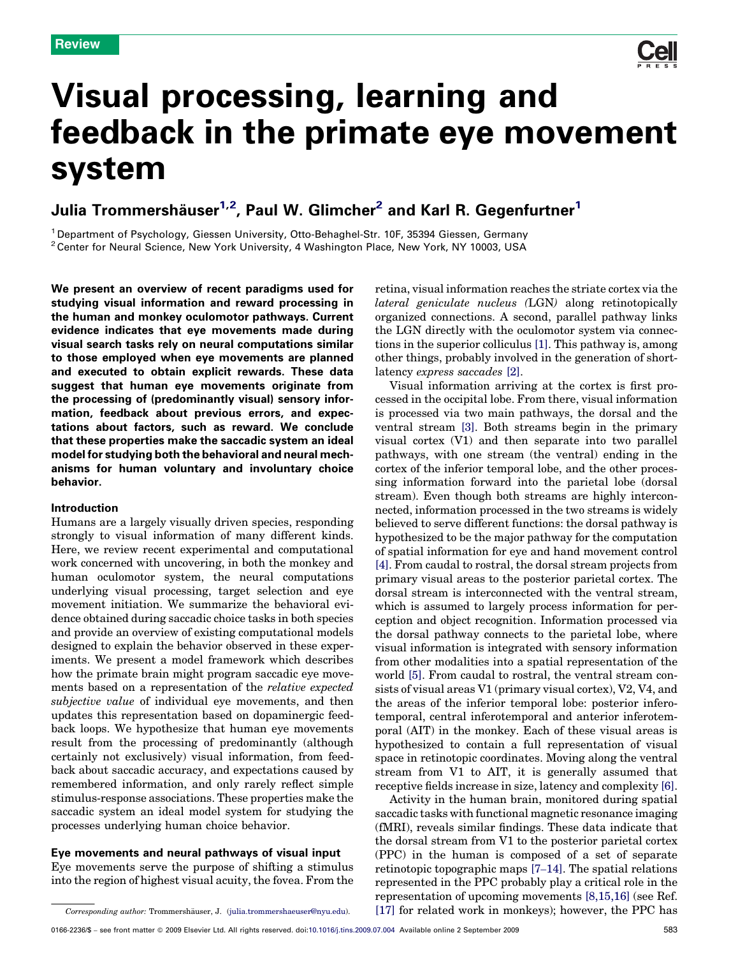

# Visual processing, learning and feedback in the primate eye movement system

## Julia Trommershäuser<sup>1,2</sup>, Paul W. Glimcher<sup>2</sup> and Karl R. Gegenfurtner<sup>1</sup>

<sup>1</sup> Department of Psychology, Giessen University, Otto-Behaghel-Str. 10F, 35394 Giessen, Germany <sup>2</sup> Center for Neural Science, New York University, 4 Washington Place, New York, NY 10003, USA

We present an overview of recent paradigms used for studying visual information and reward processing in the human and monkey oculomotor pathways. Current evidence indicates that eye movements made during visual search tasks rely on neural computations similar to those employed when eye movements are planned and executed to obtain explicit rewards. These data suggest that human eye movements originate from the processing of (predominantly visual) sensory information, feedback about previous errors, and expectations about factors, such as reward. We conclude that these properties make the saccadic system an ideal model for studying both the behavioral and neural mechanisms for human voluntary and involuntary choice behavior.

#### Introduction

Humans are a largely visually driven species, responding strongly to visual information of many different kinds. Here, we review recent experimental and computational work concerned with uncovering, in both the monkey and human oculomotor system, the neural computations underlying visual processing, target selection and eye movement initiation. We summarize the behavioral evidence obtained during saccadic choice tasks in both species and provide an overview of existing computational models designed to explain the behavior observed in these experiments. We present a model framework which describes how the primate brain might program saccadic eye movements based on a representation of the relative expected subjective value of individual eye movements, and then updates this representation based on dopaminergic feedback loops. We hypothesize that human eye movements result from the processing of predominantly (although certainly not exclusively) visual information, from feedback about saccadic accuracy, and expectations caused by remembered information, and only rarely reflect simple stimulus-response associations. These properties make the saccadic system an ideal model system for studying the processes underlying human choice behavior.

#### Eye movements and neural pathways of visual input

Eye movements serve the purpose of shifting a stimulus into the region of highest visual acuity, the fovea. From the retina, visual information reaches the striate cortex via the lateral geniculate nucleus (LGN) along retinotopically organized connections. A second, parallel pathway links the LGN directly with the oculomotor system via connections in the superior colliculus [\[1\]](#page-6-0). This pathway is, among other things, probably involved in the generation of shortlatency express saccades [\[2\].](#page-6-0)

Visual information arriving at the cortex is first processed in the occipital lobe. From there, visual information is processed via two main pathways, the dorsal and the ventral stream [\[3\]](#page-6-0). Both streams begin in the primary visual cortex (V1) and then separate into two parallel pathways, with one stream (the ventral) ending in the cortex of the inferior temporal lobe, and the other processing information forward into the parietal lobe (dorsal stream). Even though both streams are highly interconnected, information processed in the two streams is widely believed to serve different functions: the dorsal pathway is hypothesized to be the major pathway for the computation of spatial information for eye and hand movement control [\[4\].](#page-6-0) From caudal to rostral, the dorsal stream projects from primary visual areas to the posterior parietal cortex. The dorsal stream is interconnected with the ventral stream, which is assumed to largely process information for perception and object recognition. Information processed via the dorsal pathway connects to the parietal lobe, where visual information is integrated with sensory information from other modalities into a spatial representation of the world [\[5\]](#page-6-0). From caudal to rostral, the ventral stream consists of visual areas V1 (primary visual cortex), V2, V4, and the areas of the inferior temporal lobe: posterior inferotemporal, central inferotemporal and anterior inferotemporal (AIT) in the monkey. Each of these visual areas is hypothesized to contain a full representation of visual space in retinotopic coordinates. Moving along the ventral stream from V1 to AIT, it is generally assumed that receptive fields increase in size, latency and complexity [\[6\]](#page-6-0).

Activity in the human brain, monitored during spatial saccadic tasks with functional magnetic resonance imaging (fMRI), reveals similar findings. These data indicate that the dorsal stream from V1 to the posterior parietal cortex (PPC) in the human is composed of a set of separate retinotopic topographic maps [7–[14\]](#page-6-0). The spatial relations represented in the PPC probably play a critical role in the representation of upcoming movements [\[8,15,16\]](#page-6-0) (see Ref. [\[17\]](#page-6-0) for related work in monkeys); however, the PPC has

Corresponding author: Trommershäuser, J. ([julia.trommershaeuser@nyu.edu\)](mailto:julia.trommershaeuser@nyu.edu).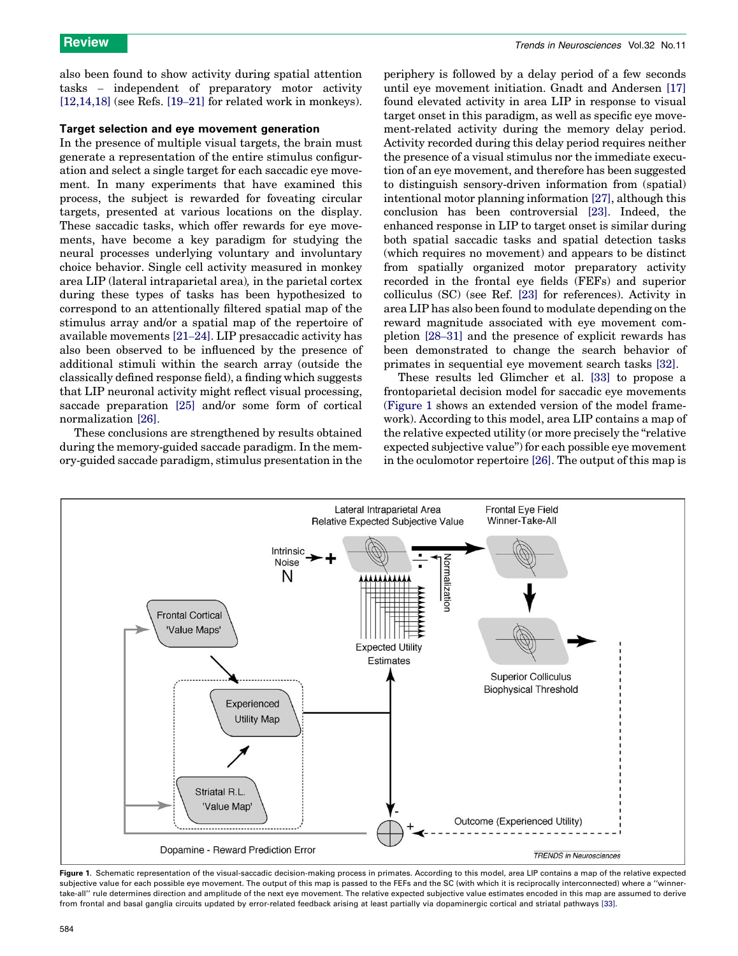<span id="page-1-0"></span>also been found to show activity during spatial attention tasks – independent of preparatory motor activity [\[12,14,18\]](#page-6-0) (see Refs. [19–[21\]](#page-6-0) for related work in monkeys).

### Target selection and eye movement generation

In the presence of multiple visual targets, the brain must generate a representation of the entire stimulus configuration and select a single target for each saccadic eye movement. In many experiments that have examined this process, the subject is rewarded for foveating circular targets, presented at various locations on the display. These saccadic tasks, which offer rewards for eye movements, have become a key paradigm for studying the neural processes underlying voluntary and involuntary choice behavior. Single cell activity measured in monkey area LIP (lateral intraparietal area), in the parietal cortex during these types of tasks has been hypothesized to correspond to an attentionally filtered spatial map of the stimulus array and/or a spatial map of the repertoire of available movements [21–[24\].](#page-6-0) LIP presaccadic activity has also been observed to be influenced by the presence of additional stimuli within the search array (outside the classically defined response field), a finding which suggests that LIP neuronal activity might reflect visual processing, saccade preparation [\[25\]](#page-6-0) and/or some form of cortical normalization [\[26\]](#page-6-0).

These conclusions are strengthened by results obtained during the memory-guided saccade paradigm. In the memory-guided saccade paradigm, stimulus presentation in the periphery is followed by a delay period of a few seconds until eye movement initiation. Gnadt and Andersen [\[17\]](#page-6-0) found elevated activity in area LIP in response to visual target onset in this paradigm, as well as specific eye movement-related activity during the memory delay period. Activity recorded during this delay period requires neither the presence of a visual stimulus nor the immediate execution of an eye movement, and therefore has been suggested to distinguish sensory-driven information from (spatial) intentional motor planning information [\[27\]](#page-6-0), although this conclusion has been controversial [\[23\].](#page-6-0) Indeed, the enhanced response in LIP to target onset is similar during both spatial saccadic tasks and spatial detection tasks (which requires no movement) and appears to be distinct from spatially organized motor preparatory activity recorded in the frontal eye fields (FEFs) and superior colliculus (SC) (see Ref. [\[23\]](#page-6-0) for references). Activity in area LIP has also been found to modulate depending on the reward magnitude associated with eye movement completion [28–[31\]](#page-6-0) and the presence of explicit rewards has been demonstrated to change the search behavior of primates in sequential eye movement search tasks [\[32\]](#page-6-0).

These results led Glimcher et al. [\[33\]](#page-6-0) to propose a frontoparietal decision model for saccadic eye movements (Figure 1 shows an extended version of the model framework). According to this model, area LIP contains a map of the relative expected utility (or more precisely the ''relative expected subjective value'') for each possible eye movement in the oculomotor repertoire [\[26\].](#page-6-0) The output of this map is



Figure 1. Schematic representation of the visual-saccadic decision-making process in primates. According to this model, area LIP contains a map of the relative expected subjective value for each possible eye movement. The output of this map is passed to the FEFs and the SC (with which it is reciprocally interconnected) where a "winnertake-all'' rule determines direction and amplitude of the next eye movement. The relative expected subjective value estimates encoded in this map are assumed to derive from frontal and basal ganglia circuits updated by error-related feedback arising at least partially via dopaminergic cortical and striatal pathways [\[33\].](#page-6-0)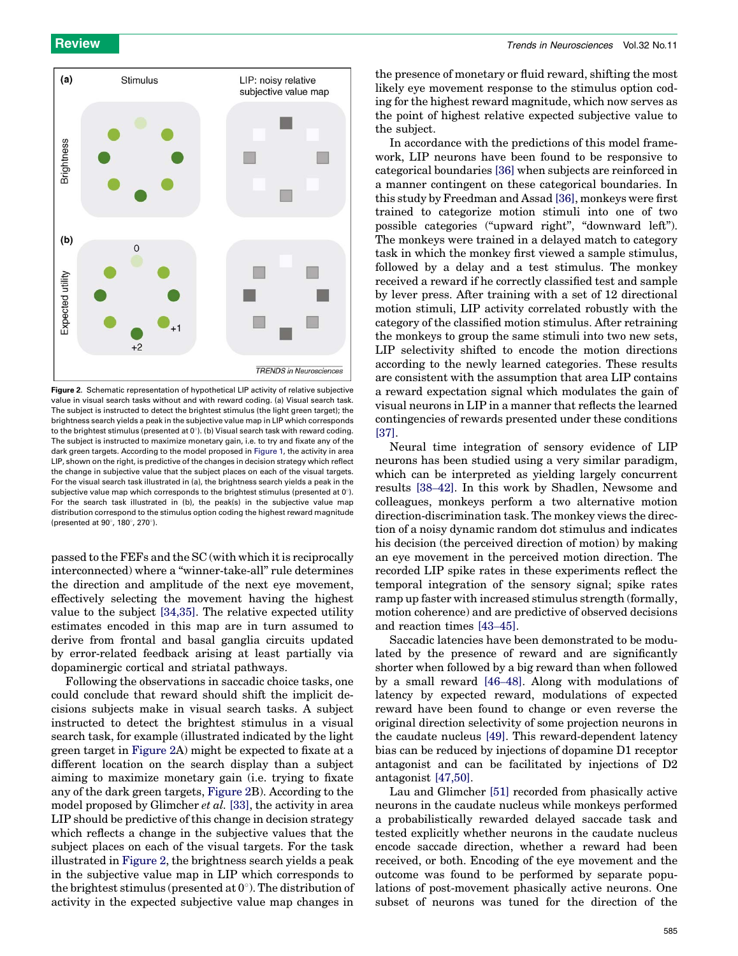

Figure 2. Schematic representation of hypothetical LIP activity of relative subjective value in visual search tasks without and with reward coding. (a) Visual search task. The subject is instructed to detect the brightest stimulus (the light green target); the brightness search yields a peak in the subjective value map in LIP which corresponds to the brightest stimulus (presented at  $0^\circ$ ). (b) Visual search task with reward coding. The subject is instructed to maximize monetary gain, i.e. to try and fixate any of the dark green targets. According to the model proposed in [Figure 1](#page-1-0), the activity in area LIP, shown on the right, is predictive of the changes in decision strategy which reflect the change in subjective value that the subject places on each of the visual targets. For the visual search task illustrated in (a), the brightness search yields a peak in the subjective value map which corresponds to the brightest stimulus (presented at  $0^\circ$ ). For the search task illustrated in (b), the peak(s) in the subjective value map distribution correspond to the stimulus option coding the highest reward magnitude (presented at  $90^{\circ}$ , 180 $^{\circ}$ , 270 $^{\circ}$ ).

passed to the FEFs and the SC (with which it is reciprocally interconnected) where a "winner-take-all" rule determines the direction and amplitude of the next eye movement, effectively selecting the movement having the highest value to the subject [\[34,35\]](#page-6-0). The relative expected utility estimates encoded in this map are in turn assumed to derive from frontal and basal ganglia circuits updated by error-related feedback arising at least partially via dopaminergic cortical and striatal pathways.

Following the observations in saccadic choice tasks, one could conclude that reward should shift the implicit decisions subjects make in visual search tasks. A subject instructed to detect the brightest stimulus in a visual search task, for example (illustrated indicated by the light green target in Figure 2A) might be expected to fixate at a different location on the search display than a subject aiming to maximize monetary gain (i.e. trying to fixate any of the dark green targets, Figure 2B). According to the model proposed by Glimcher *et al.* [\[33\]](#page-6-0), the activity in area LIP should be predictive of this change in decision strategy which reflects a change in the subjective values that the subject places on each of the visual targets. For the task illustrated in Figure 2, the brightness search yields a peak in the subjective value map in LIP which corresponds to the brightest stimulus (presented at  $0^{\circ}$ ). The distribution of activity in the expected subjective value map changes in

the presence of monetary or fluid reward, shifting the most likely eye movement response to the stimulus option coding for the highest reward magnitude, which now serves as the point of highest relative expected subjective value to the subject.

In accordance with the predictions of this model framework, LIP neurons have been found to be responsive to categorical boundaries [\[36\]](#page-6-0) when subjects are reinforced in a manner contingent on these categorical boundaries. In this study by Freedman and Assad [\[36\]](#page-6-0), monkeys were first trained to categorize motion stimuli into one of two possible categories (''upward right'', ''downward left''). The monkeys were trained in a delayed match to category task in which the monkey first viewed a sample stimulus, followed by a delay and a test stimulus. The monkey received a reward if he correctly classified test and sample by lever press. After training with a set of 12 directional motion stimuli, LIP activity correlated robustly with the category of the classified motion stimulus. After retraining the monkeys to group the same stimuli into two new sets, LIP selectivity shifted to encode the motion directions according to the newly learned categories. These results are consistent with the assumption that area LIP contains a reward expectation signal which modulates the gain of visual neurons in LIP in a manner that reflects the learned contingencies of rewards presented under these conditions [\[37\]](#page-6-0).

Neural time integration of sensory evidence of LIP neurons has been studied using a very similar paradigm, which can be interpreted as yielding largely concurrent results [\[38](#page-6-0)–42]. In this work by Shadlen, Newsome and colleagues, monkeys perform a two alternative motion direction-discrimination task. The monkey views the direction of a noisy dynamic random dot stimulus and indicates his decision (the perceived direction of motion) by making an eye movement in the perceived motion direction. The recorded LIP spike rates in these experiments reflect the temporal integration of the sensory signal; spike rates ramp up faster with increased stimulus strength (formally, motion coherence) and are predictive of observed decisions and reaction times [\[43](#page-6-0)–45].

Saccadic latencies have been demonstrated to be modulated by the presence of reward and are significantly shorter when followed by a big reward than when followed by a small reward [46–[48\].](#page-6-0) Along with modulations of latency by expected reward, modulations of expected reward have been found to change or even reverse the original direction selectivity of some projection neurons in the caudate nucleus [\[49\].](#page-7-0) This reward-dependent latency bias can be reduced by injections of dopamine D1 receptor antagonist and can be facilitated by injections of D2 antagonist [\[47,50\]](#page-6-0).

Lau and Glimcher [\[51\]](#page-7-0) recorded from phasically active neurons in the caudate nucleus while monkeys performed a probabilistically rewarded delayed saccade task and tested explicitly whether neurons in the caudate nucleus encode saccade direction, whether a reward had been received, or both. Encoding of the eye movement and the outcome was found to be performed by separate populations of post-movement phasically active neurons. One subset of neurons was tuned for the direction of the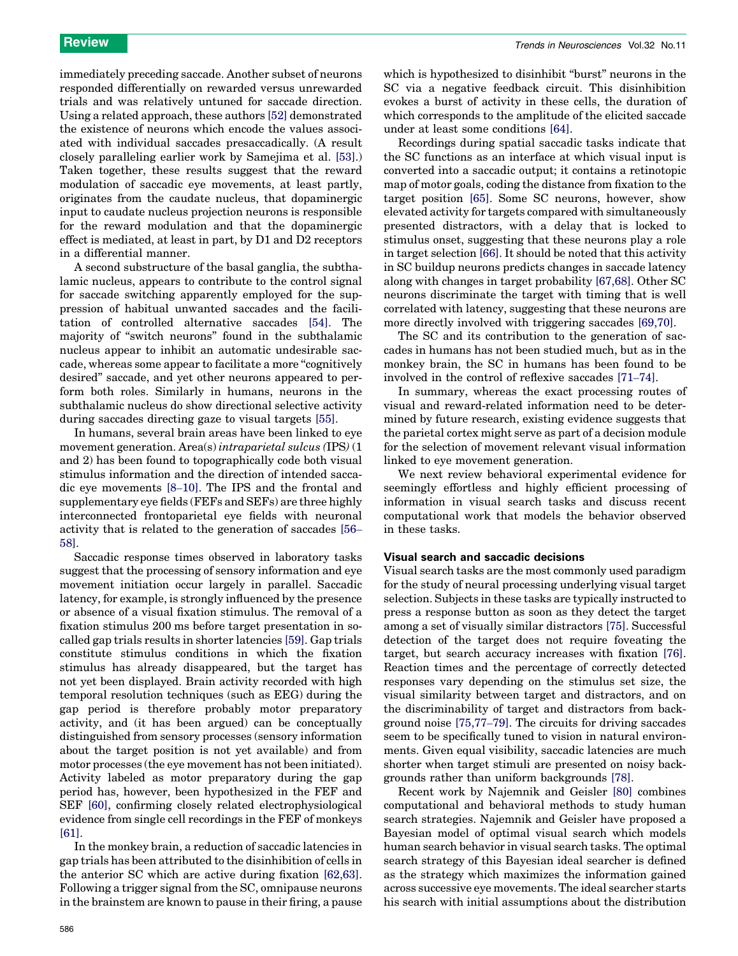immediately preceding saccade. Another subset of neurons responded differentially on rewarded versus unrewarded trials and was relatively untuned for saccade direction. Using a related approach, these authors [\[52\]](#page-7-0) demonstrated the existence of neurons which encode the values associated with individual saccades presaccadically. (A result closely paralleling earlier work by Samejima et al. [\[53\]](#page-7-0).) Taken together, these results suggest that the reward modulation of saccadic eye movements, at least partly, originates from the caudate nucleus, that dopaminergic input to caudate nucleus projection neurons is responsible for the reward modulation and that the dopaminergic effect is mediated, at least in part, by D1 and D2 receptors in a differential manner.

A second substructure of the basal ganglia, the subthalamic nucleus, appears to contribute to the control signal for saccade switching apparently employed for the suppression of habitual unwanted saccades and the facilitation of controlled alternative saccades [\[54\].](#page-7-0) The majority of ''switch neurons'' found in the subthalamic nucleus appear to inhibit an automatic undesirable saccade, whereas some appear to facilitate a more "cognitively" desired'' saccade, and yet other neurons appeared to perform both roles. Similarly in humans, neurons in the subthalamic nucleus do show directional selective activity during saccades directing gaze to visual targets [\[55\]](#page-7-0).

In humans, several brain areas have been linked to eye movement generation. Area(s) intraparietal sulcus (IPS) (1 and 2) has been found to topographically code both visual stimulus information and the direction of intended saccadic eye movements [8–[10\].](#page-6-0) The IPS and the frontal and supplementary eye fields (FEFs and SEFs) are three highly interconnected frontoparietal eye fields with neuronal activity that is related to the generation of saccades [\[56](#page-7-0)– [58\]](#page-7-0).

Saccadic response times observed in laboratory tasks suggest that the processing of sensory information and eye movement initiation occur largely in parallel. Saccadic latency, for example, is strongly influenced by the presence or absence of a visual fixation stimulus. The removal of a fixation stimulus 200 ms before target presentation in socalled gap trials results in shorter latencies [\[59\].](#page-7-0) Gap trials constitute stimulus conditions in which the fixation stimulus has already disappeared, but the target has not yet been displayed. Brain activity recorded with high temporal resolution techniques (such as EEG) during the gap period is therefore probably motor preparatory activity, and (it has been argued) can be conceptually distinguished from sensory processes (sensory information about the target position is not yet available) and from motor processes (the eye movement has not been initiated). Activity labeled as motor preparatory during the gap period has, however, been hypothesized in the FEF and SEF [\[60\]](#page-7-0), confirming closely related electrophysiological evidence from single cell recordings in the FEF of monkeys [\[61\]](#page-7-0).

In the monkey brain, a reduction of saccadic latencies in gap trials has been attributed to the disinhibition of cells in the anterior SC which are active during fixation [\[62,63\]](#page-7-0). Following a trigger signal from the SC, omnipause neurons in the brainstem are known to pause in their firing, a pause which is hypothesized to disinhibit "burst" neurons in the SC via a negative feedback circuit. This disinhibition evokes a burst of activity in these cells, the duration of which corresponds to the amplitude of the elicited saccade under at least some conditions [\[64\].](#page-7-0)

Recordings during spatial saccadic tasks indicate that the SC functions as an interface at which visual input is converted into a saccadic output; it contains a retinotopic map of motor goals, coding the distance from fixation to the target position [\[65\]](#page-7-0). Some SC neurons, however, show elevated activity for targets compared with simultaneously presented distractors, with a delay that is locked to stimulus onset, suggesting that these neurons play a role in target selection [\[66\]](#page-7-0). It should be noted that this activity in SC buildup neurons predicts changes in saccade latency along with changes in target probability [\[67,68\].](#page-7-0) Other SC neurons discriminate the target with timing that is well correlated with latency, suggesting that these neurons are more directly involved with triggering saccades [\[69,70\]](#page-7-0).

The SC and its contribution to the generation of saccades in humans has not been studied much, but as in the monkey brain, the SC in humans has been found to be involved in the control of reflexive saccades [\[71](#page-7-0)–74].

In summary, whereas the exact processing routes of visual and reward-related information need to be determined by future research, existing evidence suggests that the parietal cortex might serve as part of a decision module for the selection of movement relevant visual information linked to eye movement generation.

We next review behavioral experimental evidence for seemingly effortless and highly efficient processing of information in visual search tasks and discuss recent computational work that models the behavior observed in these tasks.

## Visual search and saccadic decisions

Visual search tasks are the most commonly used paradigm for the study of neural processing underlying visual target selection. Subjects in these tasks are typically instructed to press a response button as soon as they detect the target among a set of visually similar distractors [\[75\].](#page-7-0) Successful detection of the target does not require foveating the target, but search accuracy increases with fixation [\[76\]](#page-7-0). Reaction times and the percentage of correctly detected responses vary depending on the stimulus set size, the visual similarity between target and distractors, and on the discriminability of target and distractors from background noise [\[75,77](#page-7-0)–79]. The circuits for driving saccades seem to be specifically tuned to vision in natural environments. Given equal visibility, saccadic latencies are much shorter when target stimuli are presented on noisy backgrounds rather than uniform backgrounds [\[78\].](#page-7-0)

Recent work by Najemnik and Geisler [\[80\]](#page-7-0) combines computational and behavioral methods to study human search strategies. Najemnik and Geisler have proposed a Bayesian model of optimal visual search which models human search behavior in visual search tasks. The optimal search strategy of this Bayesian ideal searcher is defined as the strategy which maximizes the information gained across successive eye movements. The ideal searcher starts his search with initial assumptions about the distribution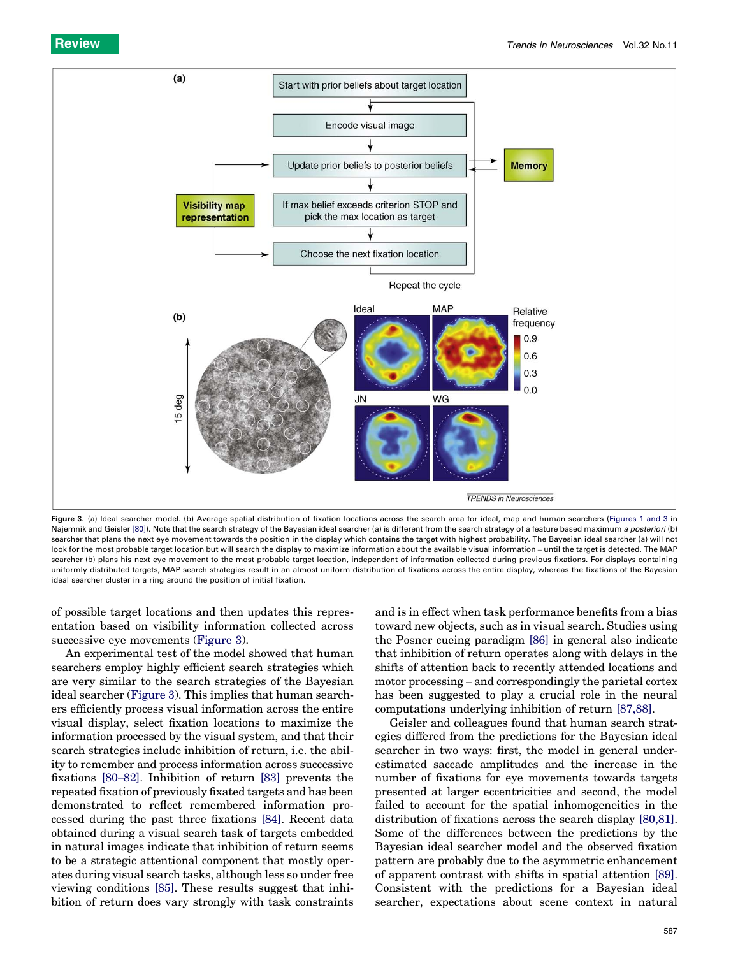

Figure 3. (a) Ideal searcher model. (b) Average spatial distribution of fixation locations across the search area for ideal, map and human searchers ([Figures 1 and 3](#page-1-0) in Najemnik and Geisler [\[80\]](#page-7-0)). Note that the search strategy of the Bayesian ideal searcher (a) is different from the search strategy of a feature based maximum a posteriori (b) searcher that plans the next eye movement towards the position in the display which contains the target with highest probability. The Bayesian ideal searcher (a) will not look for the most probable target location but will search the display to maximize information about the available visual information – until the target is detected. The MAP searcher (b) plans his next eye movement to the most probable target location, independent of information collected during previous fixations. For displays containing uniformly distributed targets, MAP search strategies result in an almost uniform distribution of fixations across the entire display, whereas the fixations of the Bayesian ideal searcher cluster in a ring around the position of initial fixation.

of possible target locations and then updates this representation based on visibility information collected across successive eye movements (Figure 3).

An experimental test of the model showed that human searchers employ highly efficient search strategies which are very similar to the search strategies of the Bayesian ideal searcher (Figure 3). This implies that human searchers efficiently process visual information across the entire visual display, select fixation locations to maximize the information processed by the visual system, and that their search strategies include inhibition of return, i.e. the ability to remember and process information across successive fixations [\[80](#page-7-0)–82]. Inhibition of return [\[83\]](#page-7-0) prevents the repeated fixation of previously fixated targets and has been demonstrated to reflect remembered information processed during the past three fixations [\[84\].](#page-7-0) Recent data obtained during a visual search task of targets embedded in natural images indicate that inhibition of return seems to be a strategic attentional component that mostly operates during visual search tasks, although less so under free viewing conditions [\[85\].](#page-7-0) These results suggest that inhibition of return does vary strongly with task constraints and is in effect when task performance benefits from a bias toward new objects, such as in visual search. Studies using the Posner cueing paradigm [\[86\]](#page-7-0) in general also indicate that inhibition of return operates along with delays in the shifts of attention back to recently attended locations and motor processing – and correspondingly the parietal cortex has been suggested to play a crucial role in the neural computations underlying inhibition of return [\[87,88\]](#page-7-0).

Geisler and colleagues found that human search strategies differed from the predictions for the Bayesian ideal searcher in two ways: first, the model in general underestimated saccade amplitudes and the increase in the number of fixations for eye movements towards targets presented at larger eccentricities and second, the model failed to account for the spatial inhomogeneities in the distribution of fixations across the search display [\[80,81\]](#page-7-0). Some of the differences between the predictions by the Bayesian ideal searcher model and the observed fixation pattern are probably due to the asymmetric enhancement of apparent contrast with shifts in spatial attention [\[89\]](#page-7-0). Consistent with the predictions for a Bayesian ideal searcher, expectations about scene context in natural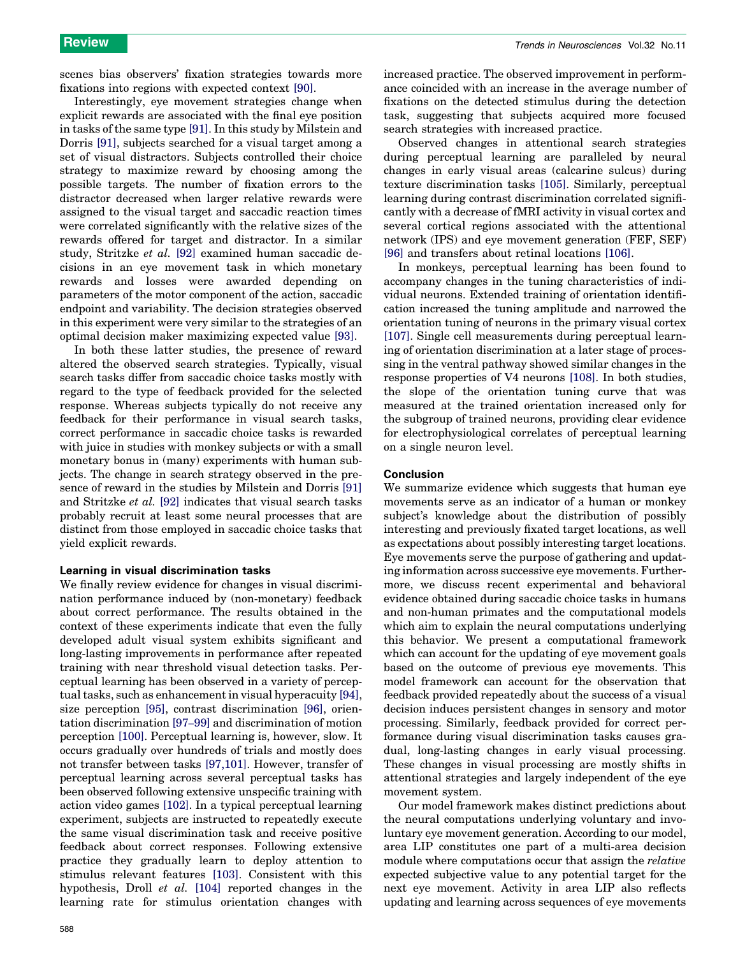scenes bias observers' fixation strategies towards more fixations into regions with expected context [\[90\]](#page-7-0).

Interestingly, eye movement strategies change when explicit rewards are associated with the final eye position in tasks of the same type [\[91\]](#page-7-0). In this study by Milstein and Dorris [\[91\],](#page-7-0) subjects searched for a visual target among a set of visual distractors. Subjects controlled their choice strategy to maximize reward by choosing among the possible targets. The number of fixation errors to the distractor decreased when larger relative rewards were assigned to the visual target and saccadic reaction times were correlated significantly with the relative sizes of the rewards offered for target and distractor. In a similar study, Stritzke et al. [\[92\]](#page-7-0) examined human saccadic decisions in an eye movement task in which monetary rewards and losses were awarded depending on parameters of the motor component of the action, saccadic endpoint and variability. The decision strategies observed in this experiment were very similar to the strategies of an optimal decision maker maximizing expected value [\[93\]](#page-7-0).

In both these latter studies, the presence of reward altered the observed search strategies. Typically, visual search tasks differ from saccadic choice tasks mostly with regard to the type of feedback provided for the selected response. Whereas subjects typically do not receive any feedback for their performance in visual search tasks, correct performance in saccadic choice tasks is rewarded with juice in studies with monkey subjects or with a small monetary bonus in (many) experiments with human subjects. The change in search strategy observed in the presence of reward in the studies by Milstein and Dorris [\[91\]](#page-7-0) and Stritzke et al. [\[92\]](#page-7-0) indicates that visual search tasks probably recruit at least some neural processes that are distinct from those employed in saccadic choice tasks that yield explicit rewards.

#### Learning in visual discrimination tasks

We finally review evidence for changes in visual discrimination performance induced by (non-monetary) feedback about correct performance. The results obtained in the context of these experiments indicate that even the fully developed adult visual system exhibits significant and long-lasting improvements in performance after repeated training with near threshold visual detection tasks. Perceptual learning has been observed in a variety of perceptual tasks, such as enhancement in visual hyperacuity [\[94\]](#page-7-0), size perception [\[95\]](#page-7-0), contrast discrimination [\[96\]](#page-7-0), orientation discrimination [97–[99\]](#page-7-0) and discrimination of motion perception [\[100\].](#page-7-0) Perceptual learning is, however, slow. It occurs gradually over hundreds of trials and mostly does not transfer between tasks [\[97,101\]](#page-7-0). However, transfer of perceptual learning across several perceptual tasks has been observed following extensive unspecific training with action video games [\[102\].](#page-7-0) In a typical perceptual learning experiment, subjects are instructed to repeatedly execute the same visual discrimination task and receive positive feedback about correct responses. Following extensive practice they gradually learn to deploy attention to stimulus relevant features [\[103\]](#page-7-0). Consistent with this hypothesis, Droll et al. [\[104\]](#page-7-0) reported changes in the learning rate for stimulus orientation changes with increased practice. The observed improvement in performance coincided with an increase in the average number of fixations on the detected stimulus during the detection task, suggesting that subjects acquired more focused search strategies with increased practice.

Observed changes in attentional search strategies during perceptual learning are paralleled by neural changes in early visual areas (calcarine sulcus) during texture discrimination tasks [\[105\]](#page-7-0). Similarly, perceptual learning during contrast discrimination correlated significantly with a decrease of fMRI activity in visual cortex and several cortical regions associated with the attentional network (IPS) and eye movement generation (FEF, SEF) [\[96\]](#page-7-0) and transfers about retinal locations [\[106\].](#page-7-0)

In monkeys, perceptual learning has been found to accompany changes in the tuning characteristics of individual neurons. Extended training of orientation identification increased the tuning amplitude and narrowed the orientation tuning of neurons in the primary visual cortex [\[107\]](#page-7-0). Single cell measurements during perceptual learning of orientation discrimination at a later stage of processing in the ventral pathway showed similar changes in the response properties of V4 neurons [\[108\]](#page-7-0). In both studies, the slope of the orientation tuning curve that was measured at the trained orientation increased only for the subgroup of trained neurons, providing clear evidence for electrophysiological correlates of perceptual learning on a single neuron level.

### Conclusion

We summarize evidence which suggests that human eye movements serve as an indicator of a human or monkey subject's knowledge about the distribution of possibly interesting and previously fixated target locations, as well as expectations about possibly interesting target locations. Eye movements serve the purpose of gathering and updating information across successive eye movements. Furthermore, we discuss recent experimental and behavioral evidence obtained during saccadic choice tasks in humans and non-human primates and the computational models which aim to explain the neural computations underlying this behavior. We present a computational framework which can account for the updating of eye movement goals based on the outcome of previous eye movements. This model framework can account for the observation that feedback provided repeatedly about the success of a visual decision induces persistent changes in sensory and motor processing. Similarly, feedback provided for correct performance during visual discrimination tasks causes gradual, long-lasting changes in early visual processing. These changes in visual processing are mostly shifts in attentional strategies and largely independent of the eye movement system.

Our model framework makes distinct predictions about the neural computations underlying voluntary and involuntary eye movement generation. According to our model, area LIP constitutes one part of a multi-area decision module where computations occur that assign the relative expected subjective value to any potential target for the next eye movement. Activity in area LIP also reflects updating and learning across sequences of eye movements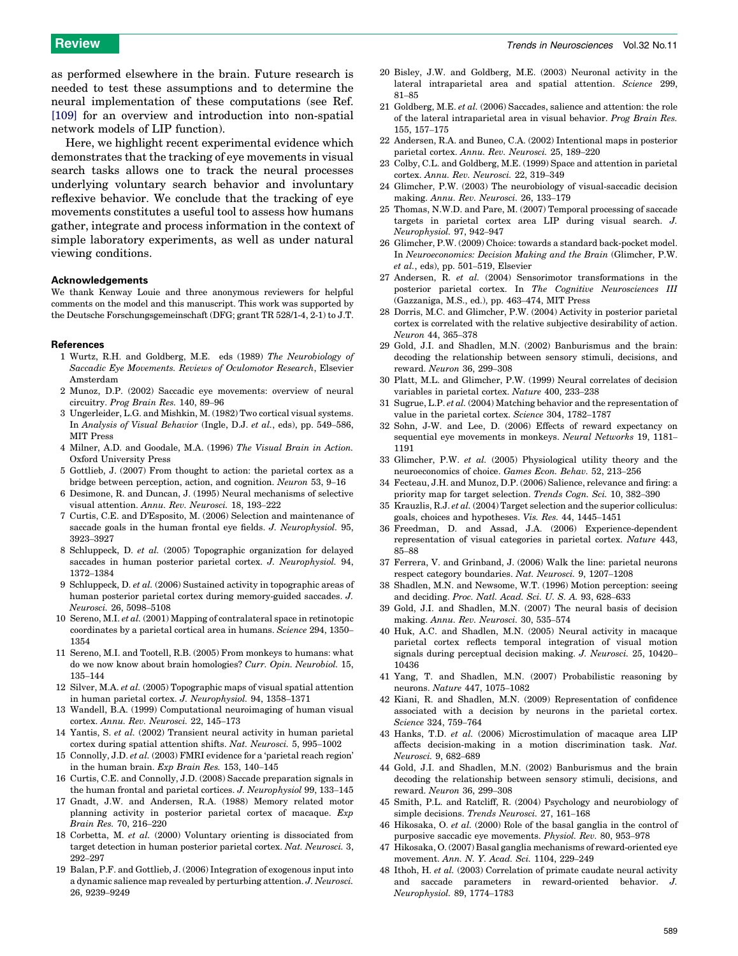<span id="page-6-0"></span>as performed elsewhere in the brain. Future research is needed to test these assumptions and to determine the neural implementation of these computations (see Ref. [\[109\]](#page-7-0) for an overview and introduction into non-spatial network models of LIP function).

Here, we highlight recent experimental evidence which demonstrates that the tracking of eye movements in visual search tasks allows one to track the neural processes underlying voluntary search behavior and involuntary reflexive behavior. We conclude that the tracking of eye movements constitutes a useful tool to assess how humans gather, integrate and process information in the context of simple laboratory experiments, as well as under natural viewing conditions.

#### Acknowledgements

We thank Kenway Louie and three anonymous reviewers for helpful comments on the model and this manuscript. This work was supported by the Deutsche Forschungsgemeinschaft (DFG; grant TR 528/1-4, 2-1) to J.T.

#### References

- 1 Wurtz, R.H. and Goldberg, M.E. eds (1989) The Neurobiology of Saccadic Eye Movements. Reviews of Oculomotor Research, Elsevier Amsterdam
- 2 Munoz, D.P. (2002) Saccadic eye movements: overview of neural circuitry. Prog Brain Res. 140, 89–96
- 3 Ungerleider, L.G. and Mishkin, M. (1982) Two cortical visual systems. In Analysis of Visual Behavior (Ingle, D.J. et al., eds), pp. 549–586, MIT Press
- 4 Milner, A.D. and Goodale, M.A. (1996) The Visual Brain in Action. Oxford University Press
- 5 Gottlieb, J. (2007) From thought to action: the parietal cortex as a bridge between perception, action, and cognition. Neuron 53, 9–16
- 6 Desimone, R. and Duncan, J. (1995) Neural mechanisms of selective visual attention. Annu. Rev. Neurosci. 18, 193–222
- 7 Curtis, C.E. and D'Esposito, M. (2006) Selection and maintenance of saccade goals in the human frontal eye fields. J. Neurophysiol. 95, 3923–3927
- 8 Schluppeck, D. et al. (2005) Topographic organization for delayed saccades in human posterior parietal cortex. J. Neurophysiol. 94, 1372–1384
- 9 Schluppeck, D. et al. (2006) Sustained activity in topographic areas of human posterior parietal cortex during memory-guided saccades. J. Neurosci. 26, 5098–5108
- 10 Sereno, M.I. et al. (2001) Mapping of contralateral space in retinotopic coordinates by a parietal cortical area in humans. Science 294, 1350– 1354
- 11 Sereno, M.I. and Tootell, R.B. (2005) From monkeys to humans: what do we now know about brain homologies? Curr. Opin. Neurobiol. 15, 135–144
- 12 Silver, M.A. et al. (2005) Topographic maps of visual spatial attention in human parietal cortex. J. Neurophysiol. 94, 1358–1371
- 13 Wandell, B.A. (1999) Computational neuroimaging of human visual cortex. Annu. Rev. Neurosci. 22, 145–173
- 14 Yantis, S. et al. (2002) Transient neural activity in human parietal cortex during spatial attention shifts. Nat. Neurosci. 5, 995–1002
- 15 Connolly, J.D. et al. (2003) FMRI evidence for a 'parietal reach region' in the human brain. Exp Brain Res. 153, 140–145
- 16 Curtis, C.E. and Connolly, J.D. (2008) Saccade preparation signals in the human frontal and parietal cortices. J. Neurophysiol 99, 133–145
- 17 Gnadt, J.W. and Andersen, R.A. (1988) Memory related motor planning activity in posterior parietal cortex of macaque. Exp Brain Res. 70, 216–220
- 18 Corbetta, M. et al. (2000) Voluntary orienting is dissociated from target detection in human posterior parietal cortex. Nat. Neurosci. 3, 292–297
- 19 Balan, P.F. and Gottlieb, J. (2006) Integration of exogenous input into a dynamic salience map revealed by perturbing attention. J. Neurosci. 26, 9239–9249
- 20 Bisley, J.W. and Goldberg, M.E. (2003) Neuronal activity in the lateral intraparietal area and spatial attention. Science 299, 81–85
- 21 Goldberg, M.E. et al. (2006) Saccades, salience and attention: the role of the lateral intraparietal area in visual behavior. Prog Brain Res. 155, 157–175
- 22 Andersen, R.A. and Buneo, C.A. (2002) Intentional maps in posterior parietal cortex. Annu. Rev. Neurosci. 25, 189–220
- 23 Colby, C.L. and Goldberg, M.E. (1999) Space and attention in parietal cortex. Annu. Rev. Neurosci. 22, 319–349
- 24 Glimcher, P.W. (2003) The neurobiology of visual-saccadic decision making. Annu. Rev. Neurosci. 26, 133–179
- 25 Thomas, N.W.D. and Pare, M. (2007) Temporal processing of saccade targets in parietal cortex area LIP during visual search. J. Neurophysiol. 97, 942–947
- 26 Glimcher, P.W. (2009) Choice: towards a standard back-pocket model. In Neuroeconomics: Decision Making and the Brain (Glimcher, P.W. et al., eds), pp. 501–519, Elsevier
- 27 Andersen, R. et al. (2004) Sensorimotor transformations in the posterior parietal cortex. In The Cognitive Neurosciences III (Gazzaniga, M.S., ed.), pp. 463–474, MIT Press
- 28 Dorris, M.C. and Glimcher, P.W. (2004) Activity in posterior parietal cortex is correlated with the relative subjective desirability of action. Neuron 44, 365–378
- 29 Gold, J.I. and Shadlen, M.N. (2002) Banburismus and the brain: decoding the relationship between sensory stimuli, decisions, and reward. Neuron 36, 299–308
- 30 Platt, M.L. and Glimcher, P.W. (1999) Neural correlates of decision variables in parietal cortex. Nature 400, 233–238
- 31 Sugrue, L.P. et al. (2004) Matching behavior and the representation of value in the parietal cortex. Science 304, 1782–1787
- 32 Sohn, J-W. and Lee, D. (2006) Effects of reward expectancy on sequential eye movements in monkeys. Neural Networks 19, 1181– 1191
- 33 Glimcher, P.W. et al. (2005) Physiological utility theory and the neuroeconomics of choice. Games Econ. Behav. 52, 213–256
- 34 Fecteau, J.H. and Munoz, D.P. (2006) Salience, relevance and firing: a priority map for target selection. Trends Cogn. Sci. 10, 382–390
- 35 Krauzlis, R.J. et al. (2004) Target selection and the superior colliculus: goals, choices and hypotheses. Vis. Res. 44, 1445–1451
- 36 Freedman, D. and Assad, J.A. (2006) Experience-dependent representation of visual categories in parietal cortex. Nature 443, 85–88
- 37 Ferrera, V. and Grinband, J. (2006) Walk the line: parietal neurons respect category boundaries. Nat. Neurosci. 9, 1207–1208
- 38 Shadlen, M.N. and Newsome, W.T. (1996) Motion perception: seeing and deciding. Proc. Natl. Acad. Sci. U. S. A. 93, 628–633
- 39 Gold, J.I. and Shadlen, M.N. (2007) The neural basis of decision making. Annu. Rev. Neurosci. 30, 535–574
- 40 Huk, A.C. and Shadlen, M.N. (2005) Neural activity in macaque parietal cortex reflects temporal integration of visual motion signals during perceptual decision making. J. Neurosci. 25, 10420– 10436
- 41 Yang, T. and Shadlen, M.N. (2007) Probabilistic reasoning by neurons. Nature 447, 1075–1082
- 42 Kiani, R. and Shadlen, M.N. (2009) Representation of confidence associated with a decision by neurons in the parietal cortex. Science 324, 759–764
- 43 Hanks, T.D. et al. (2006) Microstimulation of macaque area LIP affects decision-making in a motion discrimination task. Nat. Neurosci. 9, 682–689
- 44 Gold, J.I. and Shadlen, M.N. (2002) Banburismus and the brain decoding the relationship between sensory stimuli, decisions, and reward. Neuron 36, 299–308
- 45 Smith, P.L. and Ratcliff, R. (2004) Psychology and neurobiology of simple decisions. Trends Neurosci. 27, 161–168
- 46 Hikosaka, O. et al. (2000) Role of the basal ganglia in the control of purposive saccadic eye movements. Physiol. Rev. 80, 953–978
- 47 Hikosaka, O. (2007) Basal ganglia mechanisms of reward-oriented eye movement. Ann. N. Y. Acad. Sci. 1104, 229–249
- 48 Ithoh, H. et al. (2003) Correlation of primate caudate neural activity and saccade parameters in reward-oriented behavior. J. Neurophysiol. 89, 1774–1783